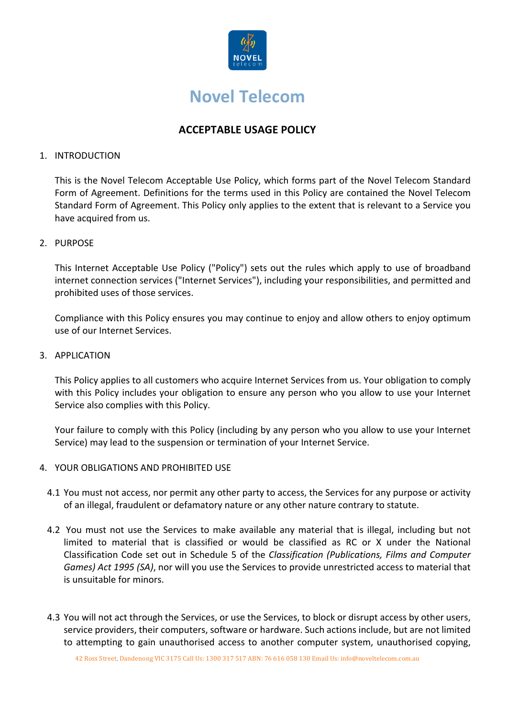

# **Novel Telecom**

# **ACCEPTABLE USAGE POLICY**

# 1. INTRODUCTION

This is the Novel Telecom Acceptable Use Policy, which forms part of the Novel Telecom Standard Form of Agreement. Definitions for the terms used in this Policy are contained the Novel Telecom Standard Form of Agreement. This Policy only applies to the extent that is relevant to a Service you have acquired from us.

# 2. PURPOSE

This Internet Acceptable Use Policy ("Policy") sets out the rules which apply to use of broadband internet connection services ("Internet Services"), including your responsibilities, and permitted and prohibited uses of those services.

Compliance with this Policy ensures you may continue to enjoy and allow others to enjoy optimum use of our Internet Services.

#### 3. APPLICATION

This Policy applies to all customers who acquire Internet Services from us. Your obligation to comply with this Policy includes your obligation to ensure any person who you allow to use your Internet Service also complies with this Policy.

Your failure to comply with this Policy (including by any person who you allow to use your Internet Service) may lead to the suspension or termination of your Internet Service.

# 4. YOUR OBLIGATIONS AND PROHIBITED USE

- 4.1 You must not access, nor permit any other party to access, the Services for any purpose or activity of an illegal, fraudulent or defamatory nature or any other nature contrary to statute.
- 4.2 You must not use the Services to make available any material that is illegal, including but not limited to material that is classified or would be classified as RC or X under the National Classification Code set out in Schedule 5 of the *Classification (Publications, Films and Computer Games) Act 1995 (SA)*, nor will you use the Services to provide unrestricted access to material that is unsuitable for minors.
- 4.3 You will not act through the Services, or use the Services, to block or disrupt access by other users, service providers, their computers, software or hardware. Such actions include, but are not limited to attempting to gain unauthorised access to another computer system, unauthorised copying,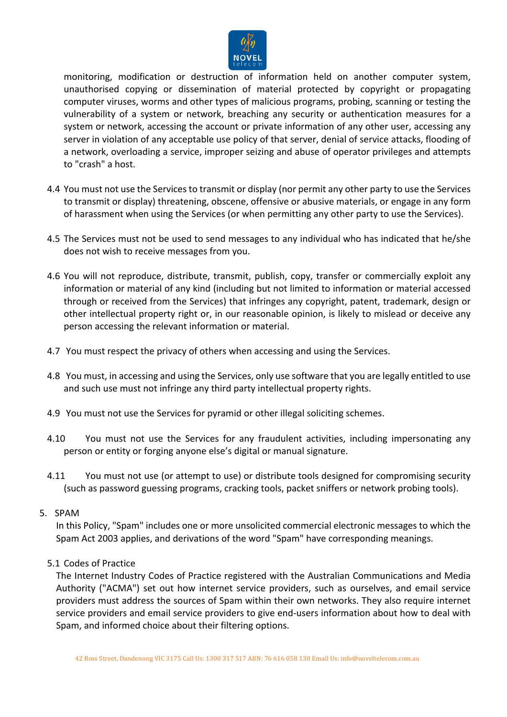

monitoring, modification or destruction of information held on another computer system, unauthorised copying or dissemination of material protected by copyright or propagating computer viruses, worms and other types of malicious programs, probing, scanning or testing the vulnerability of a system or network, breaching any security or authentication measures for a system or network, accessing the account or private information of any other user, accessing any server in violation of any acceptable use policy of that server, denial of service attacks, flooding of a network, overloading a service, improper seizing and abuse of operator privileges and attempts to "crash" a host.

- 4.4 You must not use the Services to transmit or display (nor permit any other party to use the Services to transmit or display) threatening, obscene, offensive or abusive materials, or engage in any form of harassment when using the Services (or when permitting any other party to use the Services).
- 4.5 The Services must not be used to send messages to any individual who has indicated that he/she does not wish to receive messages from you.
- 4.6 You will not reproduce, distribute, transmit, publish, copy, transfer or commercially exploit any information or material of any kind (including but not limited to information or material accessed through or received from the Services) that infringes any copyright, patent, trademark, design or other intellectual property right or, in our reasonable opinion, is likely to mislead or deceive any person accessing the relevant information or material.
- 4.7 You must respect the privacy of others when accessing and using the Services.
- 4.8 You must, in accessing and using the Services, only use software that you are legally entitled to use and such use must not infringe any third party intellectual property rights.
- 4.9 You must not use the Services for pyramid or other illegal soliciting schemes.
- 4.10 You must not use the Services for any fraudulent activities, including impersonating any person or entity or forging anyone else's digital or manual signature.
- 4.11 You must not use (or attempt to use) or distribute tools designed for compromising security (such as password guessing programs, cracking tools, packet sniffers or network probing tools).
- 5. SPAM

In this Policy, "Spam" includes one or more unsolicited commercial electronic messages to which the Spam Act 2003 applies, and derivations of the word "Spam" have corresponding meanings.

5.1 Codes of Practice

The Internet Industry Codes of Practice registered with the Australian Communications and Media Authority ("ACMA") set out how internet service providers, such as ourselves, and email service providers must address the sources of Spam within their own networks. They also require internet service providers and email service providers to give end-users information about how to deal with Spam, and informed choice about their filtering options.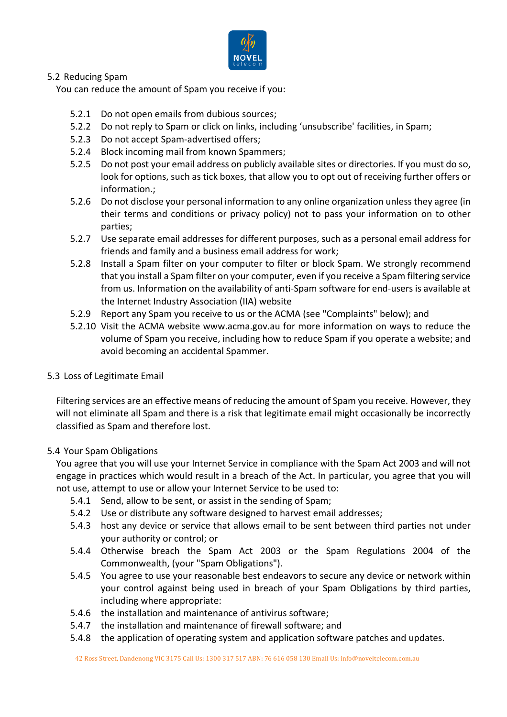

# 5.2 Reducing Spam

You can reduce the amount of Spam you receive if you:

- 5.2.1 Do not open emails from dubious sources;
- 5.2.2 Do not reply to Spam or click on links, including 'unsubscribe' facilities, in Spam;
- 5.2.3 Do not accept Spam-advertised offers;
- 5.2.4 Block incoming mail from known Spammers;
- 5.2.5 Do not post your email address on publicly available sites or directories. If you must do so, look for options, such as tick boxes, that allow you to opt out of receiving further offers or information.;
- 5.2.6 Do not disclose your personal information to any online organization unless they agree (in their terms and conditions or privacy policy) not to pass your information on to other parties;
- 5.2.7 Use separate email addresses for different purposes, such as a personal email address for friends and family and a business email address for work;
- 5.2.8 Install a Spam filter on your computer to filter or block Spam. We strongly recommend that you install a Spam filter on your computer, even if you receive a Spam filtering service from us. Information on the availability of anti-Spam software for end-users is available at the Internet Industry Association (IIA) website
- 5.2.9 Report any Spam you receive to us or the ACMA (see "Complaints" below); and
- 5.2.10 Visit the ACMA website www.acma.gov.au for more information on ways to reduce the volume of Spam you receive, including how to reduce Spam if you operate a website; and avoid becoming an accidental Spammer.
- 5.3 Loss of Legitimate Email

Filtering services are an effective means of reducing the amount of Spam you receive. However, they will not eliminate all Spam and there is a risk that legitimate email might occasionally be incorrectly classified as Spam and therefore lost.

# 5.4 Your Spam Obligations

You agree that you will use your Internet Service in compliance with the Spam Act 2003 and will not engage in practices which would result in a breach of the Act. In particular, you agree that you will not use, attempt to use or allow your Internet Service to be used to:

- 5.4.1 Send, allow to be sent, or assist in the sending of Spam;
- 5.4.2 Use or distribute any software designed to harvest email addresses;
- 5.4.3 host any device or service that allows email to be sent between third parties not under your authority or control; or
- 5.4.4 Otherwise breach the Spam Act 2003 or the Spam Regulations 2004 of the Commonwealth, (your "Spam Obligations").
- 5.4.5 You agree to use your reasonable best endeavors to secure any device or network within your control against being used in breach of your Spam Obligations by third parties, including where appropriate:
- 5.4.6 the installation and maintenance of antivirus software;
- 5.4.7 the installation and maintenance of firewall software; and
- 5.4.8 the application of operating system and application software patches and updates.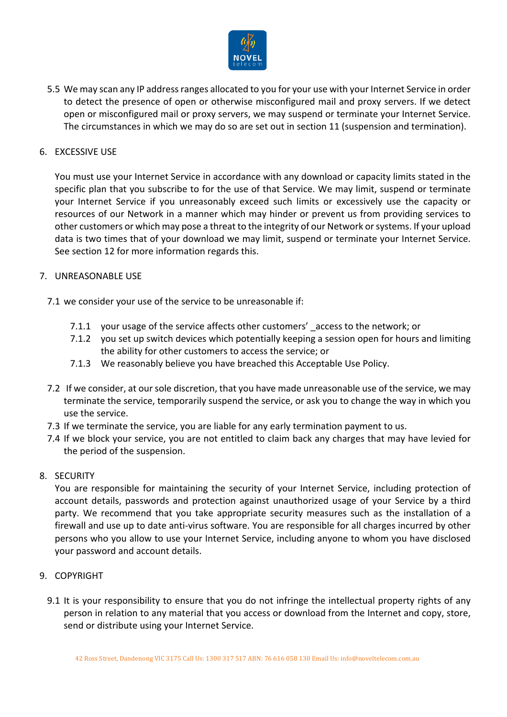

5.5 We may scan any IP address ranges allocated to you for your use with your Internet Service in order to detect the presence of open or otherwise misconfigured mail and proxy servers. If we detect open or misconfigured mail or proxy servers, we may suspend or terminate your Internet Service. The circumstances in which we may do so are set out in section 11 (suspension and termination).

# 6. EXCESSIVE USE

You must use your Internet Service in accordance with any download or capacity limits stated in the specific plan that you subscribe to for the use of that Service. We may limit, suspend or terminate your Internet Service if you unreasonably exceed such limits or excessively use the capacity or resources of our Network in a manner which may hinder or prevent us from providing services to other customers or which may pose a threat to the integrity of our Network or systems. If your upload data is two times that of your download we may limit, suspend or terminate your Internet Service. See section 12 for more information regards this.

# 7. UNREASONABLE USE

7.1 we consider your use of the service to be unreasonable if:

- 7.1.1 your usage of the service affects other customers' access to the network; or
- 7.1.2 you set up switch devices which potentially keeping a session open for hours and limiting the ability for other customers to access the service; or
- 7.1.3 We reasonably believe you have breached this Acceptable Use Policy.
- 7.2 If we consider, at our sole discretion, that you have made unreasonable use of the service, we may terminate the service, temporarily suspend the service, or ask you to change the way in which you use the service.
- 7.3 If we terminate the service, you are liable for any early termination payment to us.
- 7.4 If we block your service, you are not entitled to claim back any charges that may have levied for the period of the suspension.

# 8. SECURITY

You are responsible for maintaining the security of your Internet Service, including protection of account details, passwords and protection against unauthorized usage of your Service by a third party. We recommend that you take appropriate security measures such as the installation of a firewall and use up to date anti-virus software. You are responsible for all charges incurred by other persons who you allow to use your Internet Service, including anyone to whom you have disclosed your password and account details.

- 9. COPYRIGHT
	- 9.1 It is your responsibility to ensure that you do not infringe the intellectual property rights of any person in relation to any material that you access or download from the Internet and copy, store, send or distribute using your Internet Service.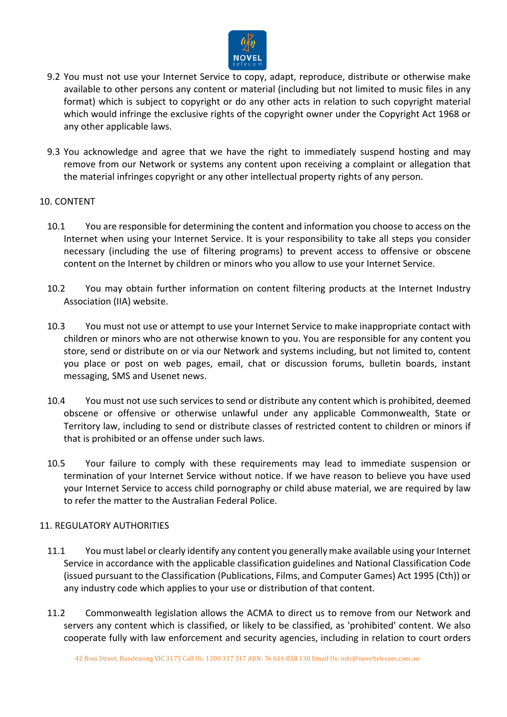

- 9.2 You must not use your Internet Service to copy, adapt, reproduce, distribute or otherwise make available to other persons any content or material (including but not limited to music files in any format) which is subject to copyright or do any other acts in relation to such copyright material which would infringe the exclusive rights of the copyright owner under the Copyright Act 1968 or any other applicable laws.
- 9.3 You acknowledge and agree that we have the right to immediately suspend hosting and may remove from our Network or systems any content upon receiving a complaint or allegation that the material infringes copyright or any other intellectual property rights of any person.

#### 10. CONTENT

- 10.1 You are responsible for determining the content and information you choose to access on the Internet when using your Internet Service. It is your responsibility to take all steps you consider necessary (including the use of filtering programs) to prevent access to offensive or obscene content on the Internet by children or minors who you allow to use your Internet Service.
- 10.2 You may obtain further information on content filtering products at the Internet Industry Association (IIA) website.
- 10.3 You must not use or attempt to use your Internet Service to make inappropriate contact with children or minors who are not otherwise known to you. You are responsible for any content you store, send or distribute on or via our Network and systems including, but not limited to, content you place or post on web pages, email, chat or discussion forums, bulletin boards, instant messaging, SMS and Usenet news.
- 10.4 You must not use such services to send or distribute any content which is prohibited, deemed obscene or offensive or otherwise unlawful under any applicable Commonwealth, State or Territory law, including to send or distribute classes of restricted content to children or minors if that is prohibited or an offense under such laws.
- 10.5 Your failure to comply with these requirements may lead to immediate suspension or termination of your Internet Service without notice. If we have reason to believe you have used your Internet Service to access child pornography or child abuse material, we are required by law to refer the matter to the Australian Federal Police.

# 11. REGULATORY AUTHORITIES

- 11.1 You must label or clearly identify any content you generally make available using your Internet Service in accordance with the applicable classification guidelines and National Classification Code (issued pursuant to the Classification (Publications, Films, and Computer Games) Act 1995 (Cth)) or any industry code which applies to your use or distribution of that content.
- 11.2 Commonwealth legislation allows the ACMA to direct us to remove from our Network and servers any content which is classified, or likely to be classified, as 'prohibited' content. We also cooperate fully with law enforcement and security agencies, including in relation to court orders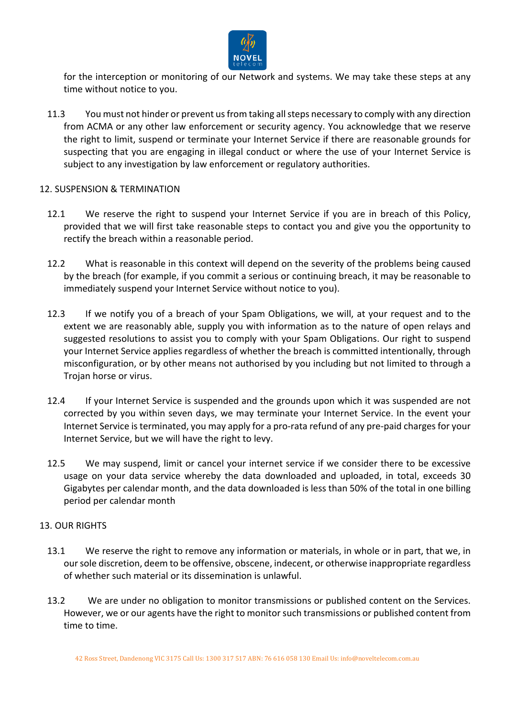

for the interception or monitoring of our Network and systems. We may take these steps at any time without notice to you.

11.3 You must not hinder or prevent us from taking all steps necessary to comply with any direction from ACMA or any other law enforcement or security agency. You acknowledge that we reserve the right to limit, suspend or terminate your Internet Service if there are reasonable grounds for suspecting that you are engaging in illegal conduct or where the use of your Internet Service is subject to any investigation by law enforcement or regulatory authorities.

# 12. SUSPENSION & TERMINATION

- 12.1 We reserve the right to suspend your Internet Service if you are in breach of this Policy, provided that we will first take reasonable steps to contact you and give you the opportunity to rectify the breach within a reasonable period.
- 12.2 What is reasonable in this context will depend on the severity of the problems being caused by the breach (for example, if you commit a serious or continuing breach, it may be reasonable to immediately suspend your Internet Service without notice to you).
- 12.3 If we notify you of a breach of your Spam Obligations, we will, at your request and to the extent we are reasonably able, supply you with information as to the nature of open relays and suggested resolutions to assist you to comply with your Spam Obligations. Our right to suspend your Internet Service applies regardless of whether the breach is committed intentionally, through misconfiguration, or by other means not authorised by you including but not limited to through a Trojan horse or virus.
- 12.4 If your Internet Service is suspended and the grounds upon which it was suspended are not corrected by you within seven days, we may terminate your Internet Service. In the event your Internet Service is terminated, you may apply for a pro-rata refund of any pre-paid charges for your Internet Service, but we will have the right to levy.
- 12.5 We may suspend, limit or cancel your internet service if we consider there to be excessive usage on your data service whereby the data downloaded and uploaded, in total, exceeds 30 Gigabytes per calendar month, and the data downloaded is less than 50% of the total in one billing period per calendar month

# 13. OUR RIGHTS

- 13.1 We reserve the right to remove any information or materials, in whole or in part, that we, in our sole discretion, deem to be offensive, obscene, indecent, or otherwise inappropriate regardless of whether such material or its dissemination is unlawful.
- 13.2 We are under no obligation to monitor transmissions or published content on the Services. However, we or our agents have the right to monitor such transmissions or published content from time to time.